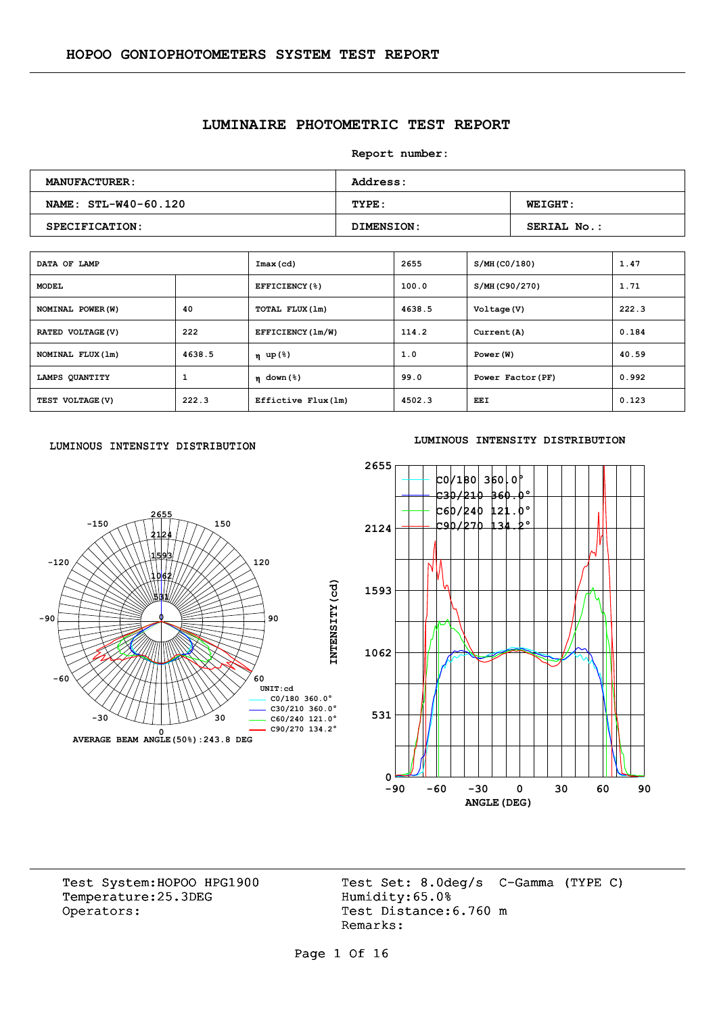## **LUMINAIRE PHOTOMETRIC TEST REPORT**

**Report number:** 

| <b>MANUFACTURER:</b> | <b>Address:</b> |                    |  |  |  |  |
|----------------------|-----------------|--------------------|--|--|--|--|
| NAME: STL-W40-60.120 | TYPE:           | <b>WEIGHT:</b>     |  |  |  |  |
| SPECIFICATION:       | DIMENSION:      | <b>SERIAL No.:</b> |  |  |  |  |

| DATA OF LAMP      |        | Imax(cd)            | 2655   | S/MH (CO/180)     | 1.47  |
|-------------------|--------|---------------------|--------|-------------------|-------|
| <b>MODEL</b>      |        | EFFICIENCY(%)       | 100.0  | S/MH(C90/270)     | 1.71  |
| NOMINAL POWER (W) | 40     | TOTAL FLUX (1m)     | 4638.5 | Voltage (V)       | 222.3 |
| RATED VOLTAGE (V) | 222    | EFFICIENCY (1m/W)   | 114.2  | Current (A)       | 0.184 |
| NOMINAL FLUX (1m) | 4638.5 | η up(%)             | 1.0    | Power (W)         | 40.59 |
| LAMPS QUANTITY    | 1      | $\eta$ down (%)     | 99.0   | Power Factor (PF) | 0.992 |
| TEST VOLTAGE (V)  | 222.3  | Effictive Flux (1m) | 4502.3 | EEI               | 0.123 |

#### LUMINOUS INTENSITY DISTRIBUTION



#### **LUMINOUS INTENSITY DISTRIBUTION**



Temperature:25.3DEG Operators: Test Distance: 6.760 m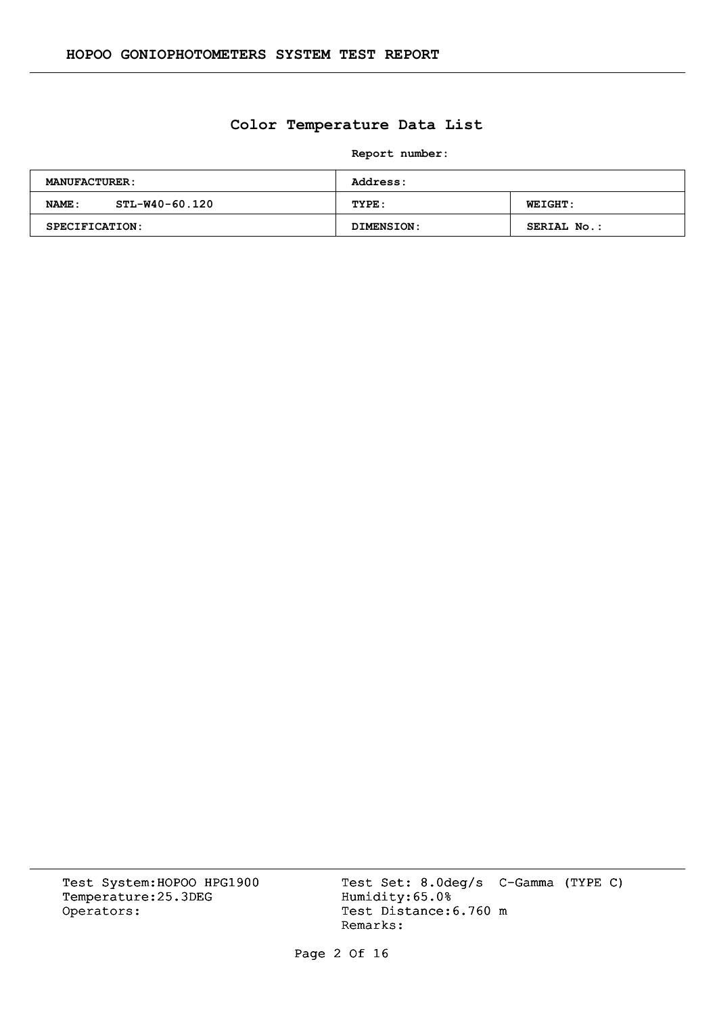# **Color Temperature Data List**

**Report number:** 

| <b>MANUFACTURER:</b>    | <b>Address:</b> |                    |  |  |  |  |
|-------------------------|-----------------|--------------------|--|--|--|--|
| STL-W40-60.120<br>NAME: | TYPE:           | <b>WEIGHT:</b>     |  |  |  |  |
| <b>SPECIFICATION:</b>   | DIMENSION:      | <b>SERIAL No.:</b> |  |  |  |  |

Temperature:25.3DEG Operators: Test Distance: 6.760 m

Test System:HOPOO HPG1900 Test Set: 8.0deg/s C-Gamma (TYPE C)<br>Temperature:25.3DEG Humidity:65.0% Remarks:

Page 2 Of 16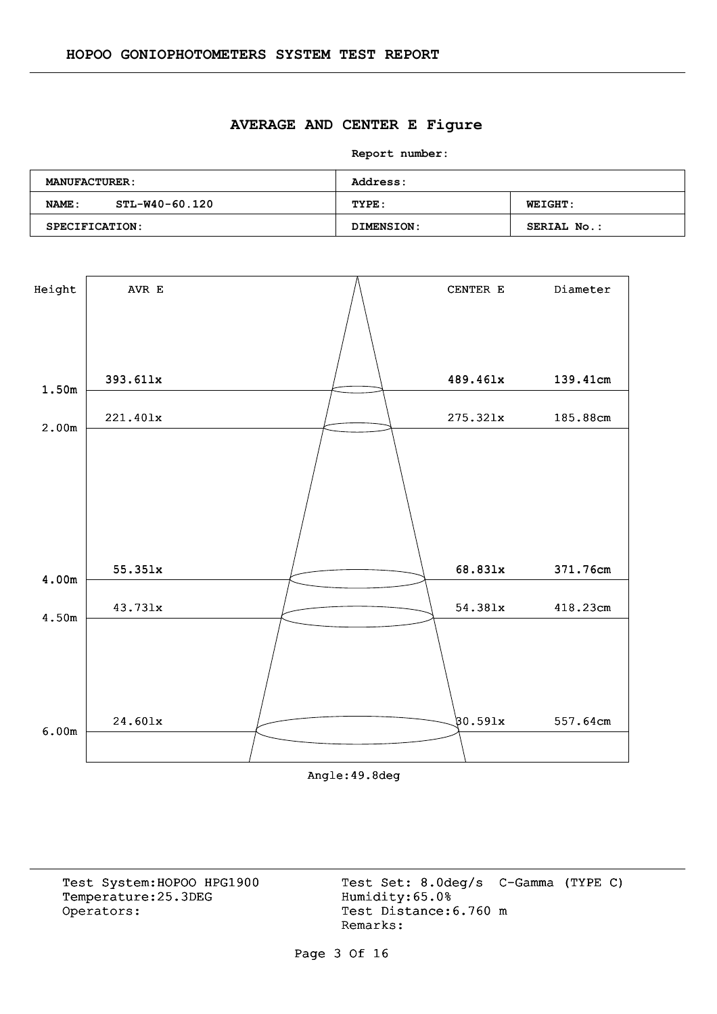#### **AVERAGE AND CENTER E Figure**

**Report number:** 

| <b>MANUFACTURER:</b>     | Address:   |                    |  |  |  |
|--------------------------|------------|--------------------|--|--|--|
| STL-W40-60.120<br>NAME : | TYPE:      | <b>WEIGHT:</b>     |  |  |  |
| SPECIFICATION:           | DIMENSION: | <b>SERIAL No.:</b> |  |  |  |



Angle:49.8deg

Temperature:25.3DEG Operators: Test Distance: 6.760 m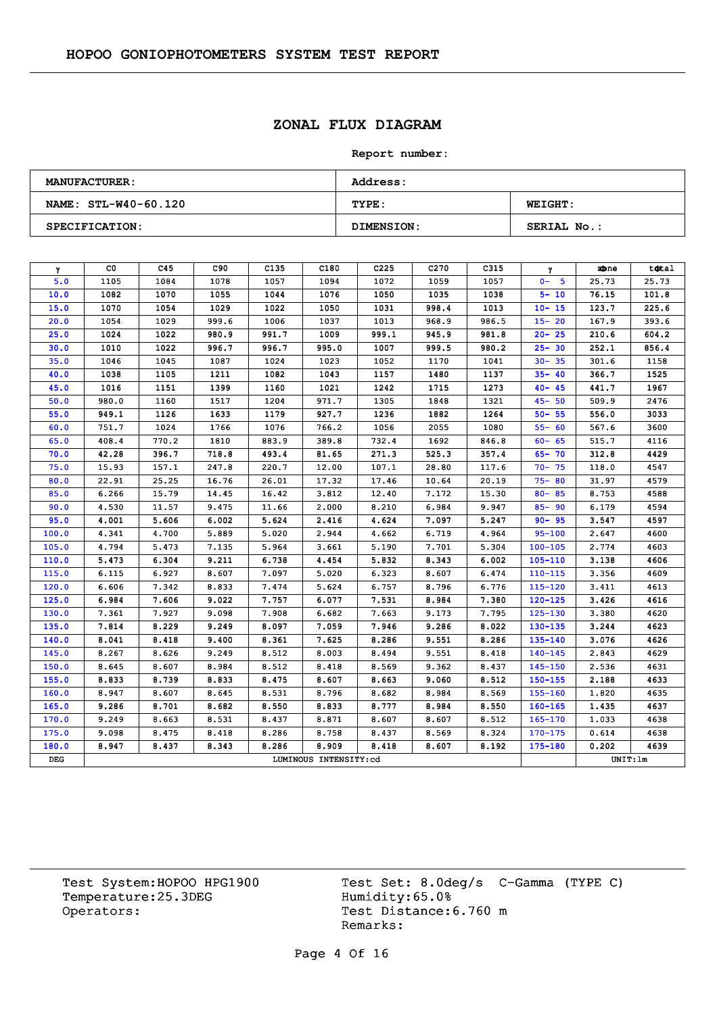# **ZONAL FLUX DIAGRAM**

#### **Report number:**

| <b>MANUFACTURER:</b> | <b>Address:</b>   |                    |  |  |  |  |  |
|----------------------|-------------------|--------------------|--|--|--|--|--|
| NAME: STL-W40-60.120 | TYPE:             | <b>WEIGHT:</b>     |  |  |  |  |  |
| SPECIFICATION:       | <b>DIMENSION:</b> | <b>SERIAL No.:</b> |  |  |  |  |  |

| γ     | CO.   | C45   | C90   | C <sub>135</sub> | C180                  | C <sub>225</sub> | C <sub>270</sub> | C315  | γ           | zbne     | total |
|-------|-------|-------|-------|------------------|-----------------------|------------------|------------------|-------|-------------|----------|-------|
| 5.0   | 1105  | 1084  | 1078  | 1057             | 1094                  | 1072             | 1059             | 1057  | $0 - 5$     | 25.73    | 25.73 |
| 10.0  | 1082  | 1070  | 1055  | 1044             | 1076                  | 1050             | 1035             | 1038  | $5 - 10$    | 76.15    | 101.8 |
| 15.0  | 1070  | 1054  | 1029  | 1022             | 1050                  | 1031             | 998.4            | 1013  | $10 - 15$   | 123.7    | 225.6 |
| 20.0  | 1054  | 1029  | 999.6 | 1006             | 1037                  | 1013             | 968.9            | 986.5 | $15 - 20$   | 167.9    | 393.6 |
| 25.0  | 1024  | 1022  | 980.9 | 991.7            | 1009                  | 999.1            | 945.9            | 981.8 | $20 - 25$   | 210.6    | 604.2 |
| 30.0  | 1010  | 1022  | 996.7 | 996.7            | 995.0                 | 1007             | 999.5            | 980.2 | $25 - 30$   | 252.1    | 856.4 |
| 35.0  | 1046  | 1045  | 1087  | 1024             | 1023                  | 1052             | 1170             | 1041  | $30 - 35$   | 301.6    | 1158  |
| 40.0  | 1038  | 1105  | 1211  | 1082             | 1043                  | 1157             | 1480             | 1137  | $35 - 40$   | 366.7    | 1525  |
| 45.0  | 1016  | 1151  | 1399  | 1160             | 1021                  | 1242             | 1715             | 1273  | $40 - 45$   | 441.7    | 1967  |
| 50.0  | 980.0 | 1160  | 1517  | 1204             | 971.7                 | 1305             | 1848             | 1321  | $45 - 50$   | 509.9    | 2476  |
| 55.0  | 949.1 | 1126  | 1633  | 1179             | 927.7                 | 1236             | 1882             | 1264  | $50 - 55$   | 556.0    | 3033  |
| 60.0  | 751.7 | 1024  | 1766  | 1076             | 766.2                 | 1056             | 2055             | 1080  | $55 - 60$   | 567.6    | 3600  |
| 65.0  | 408.4 | 770.2 | 1810  | 883.9            | 389.8                 | 732.4            | 1692             | 846.8 | $60 - 65$   | 515.7    | 4116  |
| 70.0  | 42.28 | 396.7 | 718.8 | 493.4            | 81.65                 | 271.3            | 525.3            | 357.4 | $65 - 70$   | 312.8    | 4429  |
| 75.0  | 15.93 | 157.1 | 247.8 | 220.7            | 12.00                 | 107.1            | 28.80            | 117.6 | $70 - 75$   | 118.0    | 4547  |
| 80.0  | 22.91 | 25.25 | 16.76 | 26.01            | 17.32                 | 17.46            | 10.64            | 20.19 | $75 - 80$   | 31.97    | 4579  |
| 85.0  | 6.266 | 15.79 | 14.45 | 16.42            | 3.812                 | 12.40            | 7.172            | 15.30 | $80 - 85$   | 8.753    | 4588  |
| 90.0  | 4.530 | 11.57 | 9.475 | 11.66            | 2.000                 | 8.210            | 6.984            | 9.947 | $85 - 90$   | 6.179    | 4594  |
| 95.0  | 4.001 | 5.606 | 6.002 | 5.624            | 2.416                 | 4.624            | 7.097            | 5.247 | $90 - 95$   | 3.547    | 4597  |
| 100.0 | 4.341 | 4,700 | 5.889 | 5.020            | 2.944                 | 4.662            | 6.719            | 4.964 | $95 - 100$  | 2.647    | 4600  |
| 105.0 | 4.794 | 5.473 | 7.135 | 5.964            | 3.661                 | 5.190            | 7.701            | 5.304 | $100 - 105$ | 2.774    | 4603  |
| 110.0 | 5.473 | 6.304 | 9.211 | 6.738            | 4.454                 | 5.832            | 8.343            | 6.002 | $105 - 110$ | 3.138    | 4606  |
| 115.0 | 6.115 | 6.927 | 8.607 | 7.097            | 5.020                 | 6.323            | 8.607            | 6.474 | $110 - 115$ | 3.356    | 4609  |
| 120.0 | 6.606 | 7.342 | 8.833 | 7.474            | 5.624                 | 6.757            | 8.796            | 6.776 | $115 - 120$ | 3.411    | 4613  |
| 125.0 | 6.984 | 7.606 | 9.022 | 7.757            | 6.077                 | 7.531            | 8.984            | 7.380 | $120 - 125$ | 3.426    | 4616  |
| 130.0 | 7.361 | 7.927 | 9.098 | 7.908            | 6.682                 | 7.663            | 9.173            | 7.795 | 125-130     | 3.380    | 4620  |
| 135.0 | 7.814 | 8.229 | 9.249 | 8.097            | 7.059                 | 7.946            | 9.286            | 8.022 | 130-135     | 3.244    | 4623  |
| 140.0 | 8.041 | 8.418 | 9.400 | 8.361            | 7.625                 | 8.286            | 9.551            | 8.286 | 135-140     | 3.076    | 4626  |
| 145.0 | 8.267 | 8.626 | 9.249 | 8.512            | 8.003                 | 8.494            | 9.551            | 8.418 | $140 - 145$ | 2.843    | 4629  |
| 150.0 | 8.645 | 8.607 | 8.984 | 8.512            | 8.418                 | 8.569            | 9.362            | 8.437 | 145-150     | 2.536    | 4631  |
| 155.0 | 8.833 | 8.739 | 8.833 | 8.475            | 8.607                 | 8.663            | 9.060            | 8.512 | $150 - 155$ | 2.188    | 4633  |
| 160.0 | 8.947 | 8.607 | 8.645 | 8.531            | 8.796                 | 8.682            | 8.984            | 8.569 | $155 - 160$ | 1,820    | 4635  |
| 165.0 | 9.286 | 8.701 | 8.682 | 8.550            | 8.833                 | 8.777            | 8.984            | 8.550 | $160 - 165$ | 1.435    | 4637  |
| 170.0 | 9.249 | 8.663 | 8.531 | 8.437            | 8.871                 | 8.607            | 8.607            | 8.512 | 165-170     | 1.033    | 4638  |
| 175.0 | 9.098 | 8.475 | 8.418 | 8.286            | 8.758                 | 8.437            | 8.569            | 8.324 | $170 - 175$ | 0.614    | 4638  |
| 180.0 | 8.947 | 8.437 | 8.343 | 8.286            | 8.909                 | 8.418            | 8.607            | 8.192 | $175 - 180$ | 0.202    | 4639  |
| DEG   |       |       |       |                  | LUMINOUS INTENSITY:cd |                  |                  |       |             | UNIT: 1m |       |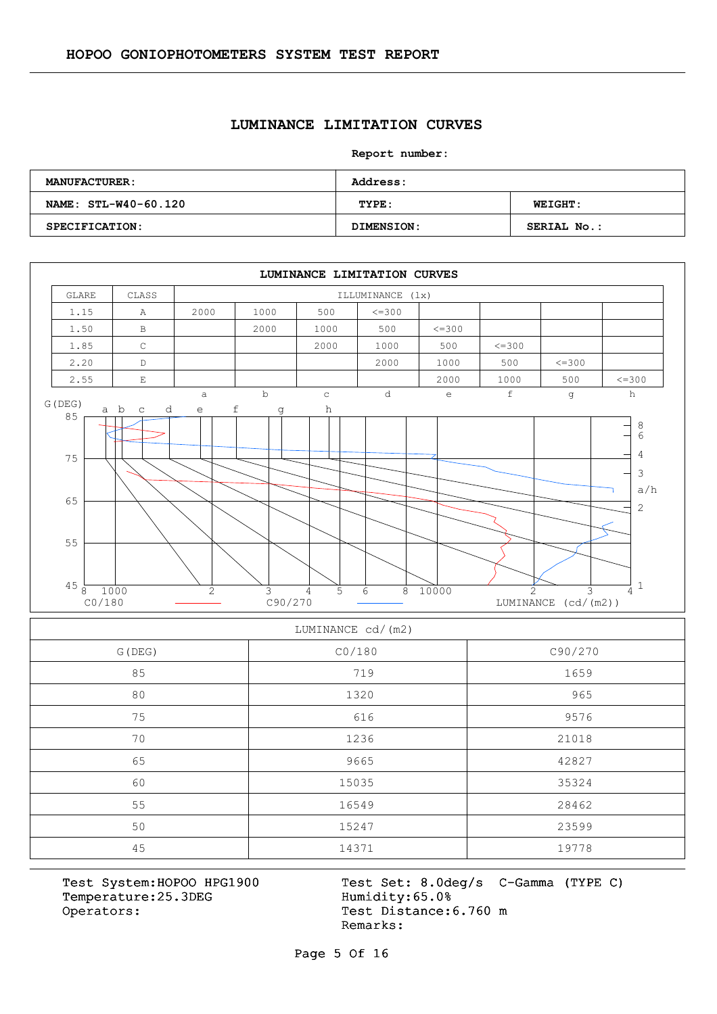#### **LUMINANCE LIMITATION CURVES**

**Report number:** 

| <b>MANUFACTURER:</b>  | <b>Address:</b> |                    |  |  |  |  |  |
|-----------------------|-----------------|--------------------|--|--|--|--|--|
| NAME: STL-W40-60.120  | TYPE:           | <b>WEIGHT:</b>     |  |  |  |  |  |
| <b>SPECIFICATION:</b> | DIMENSION:      | <b>SERIAL No.:</b> |  |  |  |  |  |



#### LUMINANCE cd/(m2)

| G (DEG) | CO/180 | C90/270 |  |  |  |  |
|---------|--------|---------|--|--|--|--|
| 85      | 719    | 1659    |  |  |  |  |
| 80      | 1320   | 965     |  |  |  |  |
| 75      | 616    | 9576    |  |  |  |  |
| 70      | 1236   | 21018   |  |  |  |  |
| 65      | 9665   | 42827   |  |  |  |  |
| 60      | 15035  | 35324   |  |  |  |  |
| 55      | 16549  | 28462   |  |  |  |  |
| 50      | 15247  | 23599   |  |  |  |  |
| 45      | 14371  | 19778   |  |  |  |  |

Temperature:25.3DEG Operators: Test Distance: 6.760 m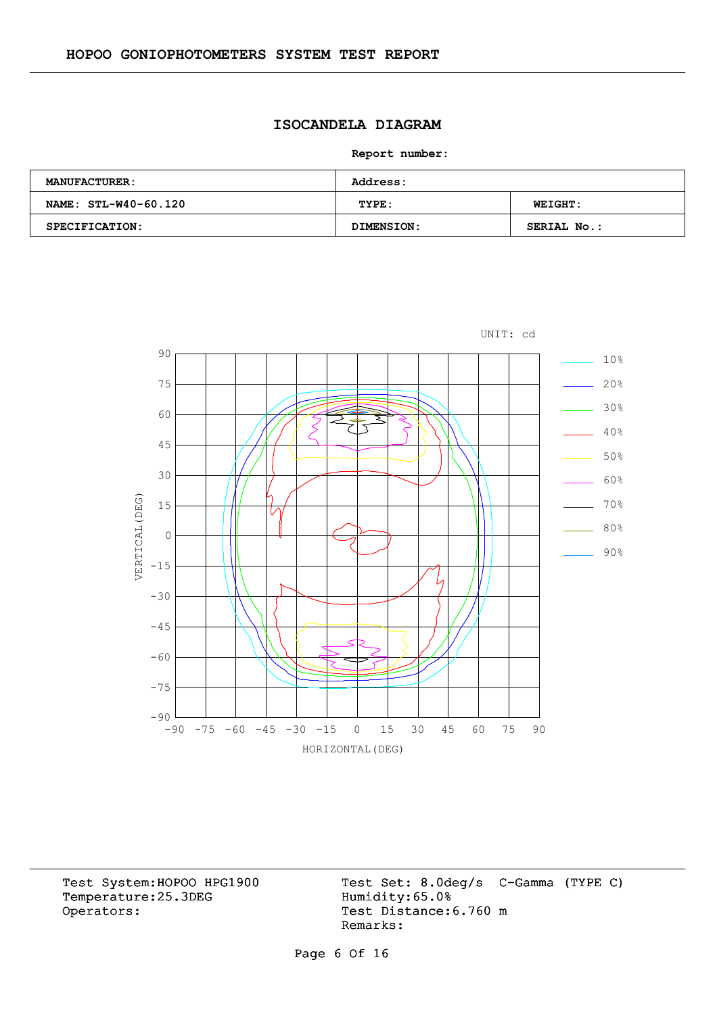# **ISOCANDELA DIAGRAM**

**Report number:** 

| <b>MANUFACTURER:</b> | <b>Address:</b> |                |  |  |  |  |  |
|----------------------|-----------------|----------------|--|--|--|--|--|
| NAME: STL-W40-60.120 | TYPE:           | <b>WEIGHT:</b> |  |  |  |  |  |
| SPECIFICATION:       | DIMENSION:      | SERIAL No.:    |  |  |  |  |  |



Temperature:25.3DEG Operators: Test Distance: 6.760 m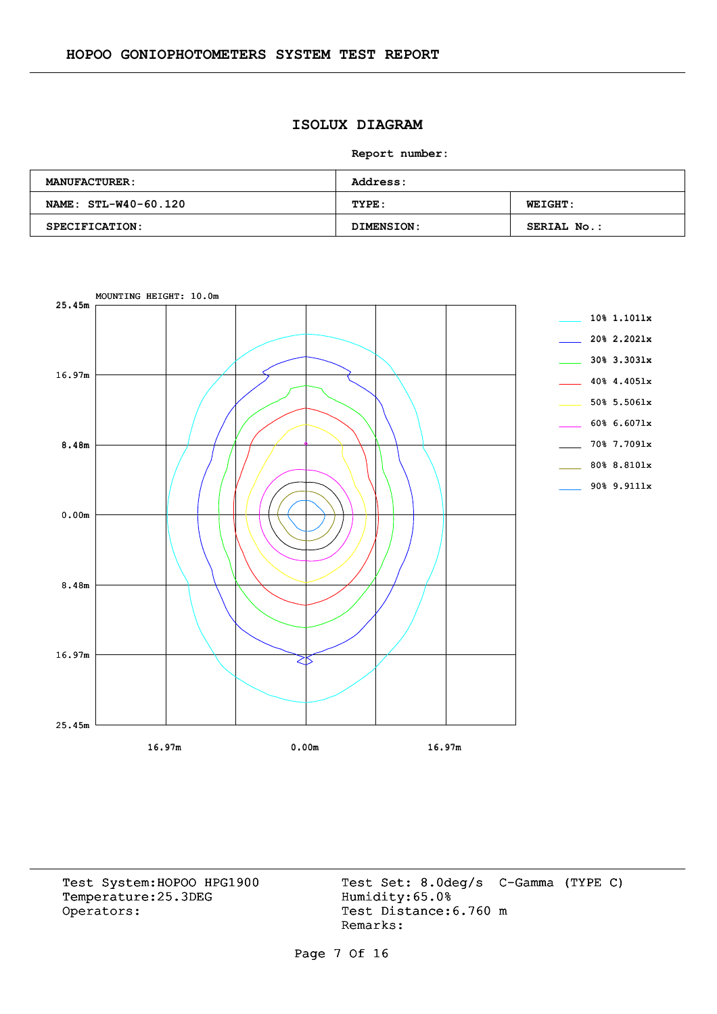# **ISOLUX DIAGRAM**

**Report number:** 

| <b>MANUFACTURER:</b>  | <b>Address:</b> |                    |  |  |  |  |  |
|-----------------------|-----------------|--------------------|--|--|--|--|--|
| NAME: STL-W40-60.120  | TYPE:           | <b>WEIGHT:</b>     |  |  |  |  |  |
| <b>SPECIFICATION:</b> | DIMENSION:      | <b>SERIAL No.:</b> |  |  |  |  |  |



Temperature:25.3DEG Operators: Test Distance: 6.760 m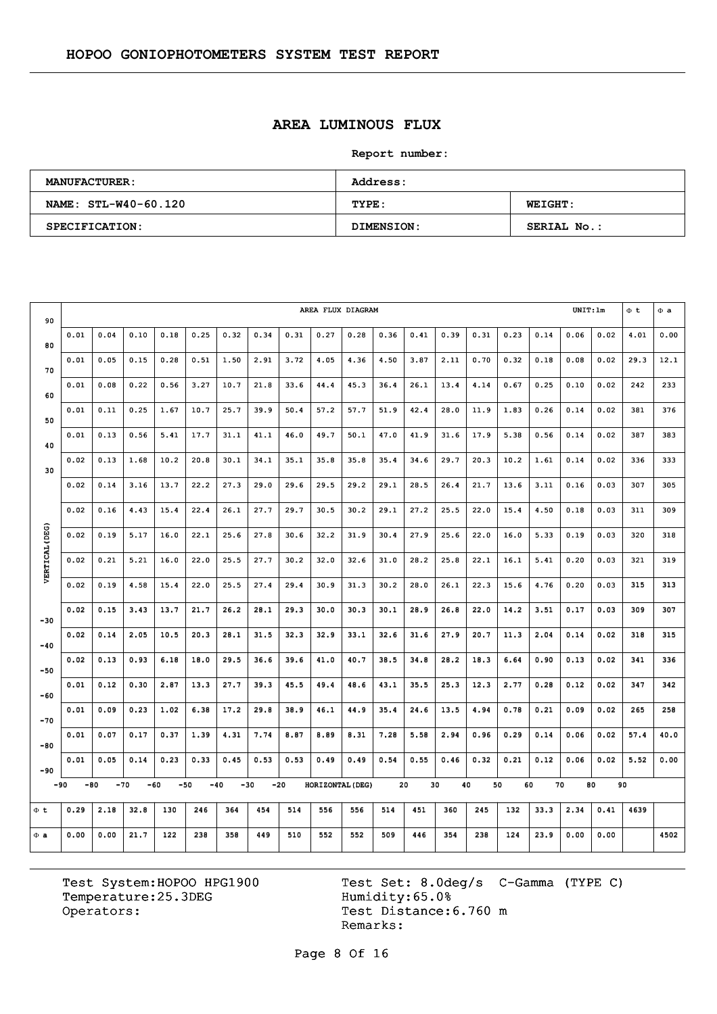# **AREA LUMINOUS FLUX**

**Report number:** 

| <b>MANUFACTURER:</b> | <b>Address:</b> |                    |  |  |  |  |  |
|----------------------|-----------------|--------------------|--|--|--|--|--|
| NAME: STL-W40-60.120 | TYPE:           | <b>WEIGHT:</b>     |  |  |  |  |  |
| SPECIFICATION:       | DIMENSION:      | <b>SERIAL No.:</b> |  |  |  |  |  |

| 90             | AREA FLUX DIAGRAM |       |      |      |              |       |       |      |                  |      |      |      | UNIT:lm |      | $\Phi$ <sub>t</sub> | $\Phi$ a |      |      |      |      |
|----------------|-------------------|-------|------|------|--------------|-------|-------|------|------------------|------|------|------|---------|------|---------------------|----------|------|------|------|------|
| 80             | 0.01              | 0.04  | 0.10 | 0.18 | 0.25         | 0.32  | 0.34  | 0.31 | 0.27             | 0.28 | 0.36 | 0.41 | 0.39    | 0.31 | 0.23                | 0.14     | 0.06 | 0.02 | 4.01 | 0.00 |
| 70             | 0.01              | 0.05  | 0.15 | 0.28 | 0.51         | 1.50  | 2.91  | 3.72 | 4.05             | 4.36 | 4.50 | 3.87 | 2.11    | 0.70 | 0.32                | 0.18     | 0.08 | 0.02 | 29.3 | 12.1 |
| 60             | 0.01              | 0.08  | 0.22 | 0.56 | 3.27         | 10.7  | 21.8  | 33.6 | 44.4             | 45.3 | 36.4 | 26.1 | 13.4    | 4.14 | 0.67                | 0.25     | 0.10 | 0.02 | 242  | 233  |
| 50             | 0.01              | 0.11  | 0.25 | 1.67 | 10.7         | 25.7  | 39.9  | 50.4 | 57.2             | 57.7 | 51.9 | 42.4 | 28.0    | 11.9 | 1.83                | 0.26     | 0.14 | 0.02 | 381  | 376  |
| 40             | 0.01              | 0.13  | 0.56 | 5.41 | 17.7         | 31.1  | 41.1  | 46.0 | 49.7             | 50.1 | 47.0 | 41.9 | 31.6    | 17.9 | 5.38                | 0.56     | 0.14 | 0.02 | 387  | 383  |
|                | 0.02              | 0.13  | 1.68 | 10.2 | 20.8         | 30.1  | 34.1  | 35.1 | 35.8             | 35.8 | 35.4 | 34.6 | 29.7    | 20.3 | 10.2                | 1.61     | 0.14 | 0.02 | 336  | 333  |
| 30             | 0.02              | 0.14  | 3.16 | 13.7 | 22.2         | 27.3  | 29.0  | 29.6 | 29.5             | 29.2 | 29.1 | 28.5 | 26.4    | 21.7 | 13.6                | 3,11     | 0.16 | 0.03 | 307  | 305  |
|                | 0.02              | 0.16  | 4.43 | 15.4 | 22.4         | 26.1  | 27.7  | 29.7 | 30.5             | 30.2 | 29.1 | 27.2 | 25.5    | 22.0 | 15.4                | 4.50     | 0.18 | 0.03 | 311  | 309  |
|                | 0.02              | 0.19  | 5.17 | 16.0 | 22.1         | 25.6  | 27.8  | 30.6 | 32.2             | 31.9 | 30.4 | 27.9 | 25.6    | 22.0 | 16.0                | 5.33     | 0.19 | 0.03 | 320  | 318  |
| VERTICAL (DEG) | 0.02              | 0.21  | 5.21 | 16.0 | 22.0         | 25.5  | 27.7  | 30.2 | 32.0             | 32.6 | 31.0 | 28.2 | 25.8    | 22.1 | 16.1                | 5.41     | 0.20 | 0.03 | 321  | 319  |
|                | 0.02              | 0.19  | 4.58 | 15.4 | 22.0         | 25.5  | 27.4  | 29.4 | 30.9             | 31.3 | 30.2 | 28.0 | 26.1    | 22.3 | 15.6                | 4.76     | 0.20 | 0.03 | 315  | 313  |
|                | 0.02              | 0.15  | 3.43 | 13.7 | 21.7         | 26.2  | 28.1  | 29.3 | 30.0             | 30.3 | 30.1 | 28.9 | 26.8    | 22.0 | 14.2                | 3.51     | 0.17 | 0.03 | 309  | 307  |
| $-30$          | 0.02              | 0.14  | 2.05 | 10.5 | 20.3         | 28.1  | 31.5  | 32.3 | 32.9             | 33.1 | 32.6 | 31.6 | 27.9    | 20.7 | 11.3                | 2.04     | 0.14 | 0.02 | 318  | 315  |
| $-40$          | 0.02              | 0.13  | 0.93 | 6.18 | 18.0         | 29.5  | 36.6  | 39.6 | 41.0             | 40.7 | 38.5 | 34.8 | 28.2    | 18.3 | 6.64                | 0.90     | 0.13 | 0.02 | 341  | 336  |
| $-50$          | 0.01              | 0.12  | 0.30 | 2.87 | 13.3         | 27.7  | 39.3  | 45.5 | 49.4             | 48.6 | 43.1 | 35.5 | 25.3    | 12.3 | 2,77                | 0.28     | 0.12 | 0.02 | 347  | 342  |
| $-60$          |                   |       |      |      |              |       |       |      |                  |      |      |      |         |      |                     |          |      |      |      |      |
| $-70$          | 0.01              | 0.09  | 0.23 | 1.02 | 6.38         | 17.2  | 29.8  | 38.9 | 46.1             | 44.9 | 35.4 | 24.6 | 13.5    | 4.94 | 0.78                | 0.21     | 0.09 | 0.02 | 265  | 258  |
| $-80$          | 0.01              | 0.07  | 0.17 | 0.37 | 1.39         | 4.31  | 7.74  | 8.87 | 8.89             | 8.31 | 7.28 | 5.58 | 2.94    | 0.96 | 0.29                | 0.14     | 0.06 | 0.02 | 57.4 | 40.0 |
| $-90$          | 0.01              | 0.05  | 0.14 | 0.23 | 0.33         | 0.45  | 0.53  | 0.53 | 0.49             | 0.49 | 0.54 | 0.55 | 0.46    | 0.32 | 0.21                | 0.12     | 0.06 | 0.02 | 5.52 | 0.00 |
| -90            | -80               | $-70$ |      | -60  | -50<br>$-40$ | $-30$ | $-20$ |      | HORIZONTAL (DEG) |      |      | 20   | 30      | 40   | 50<br>60            | 70       |      | 80   | 90   |      |
| Φt             | 0.29              | 2.18  | 32.8 | 130  | 246          | 364   | 454   | 514  | 556              | 556  | 514  | 451  | 360     | 245  | 132                 | 33.3     | 2.34 | 0.41 | 4639 |      |
| $\Phi$ a       | 0.00              | 0.00  | 21.7 | 122  | 238          | 358   | 449   | 510  | 552              | 552  | 509  | 446  | 354     | 238  | 124                 | 23.9     | 0.00 | 0.00 |      | 4502 |

Temperature:25.3DEG Operators: Test Distance: 6.760 m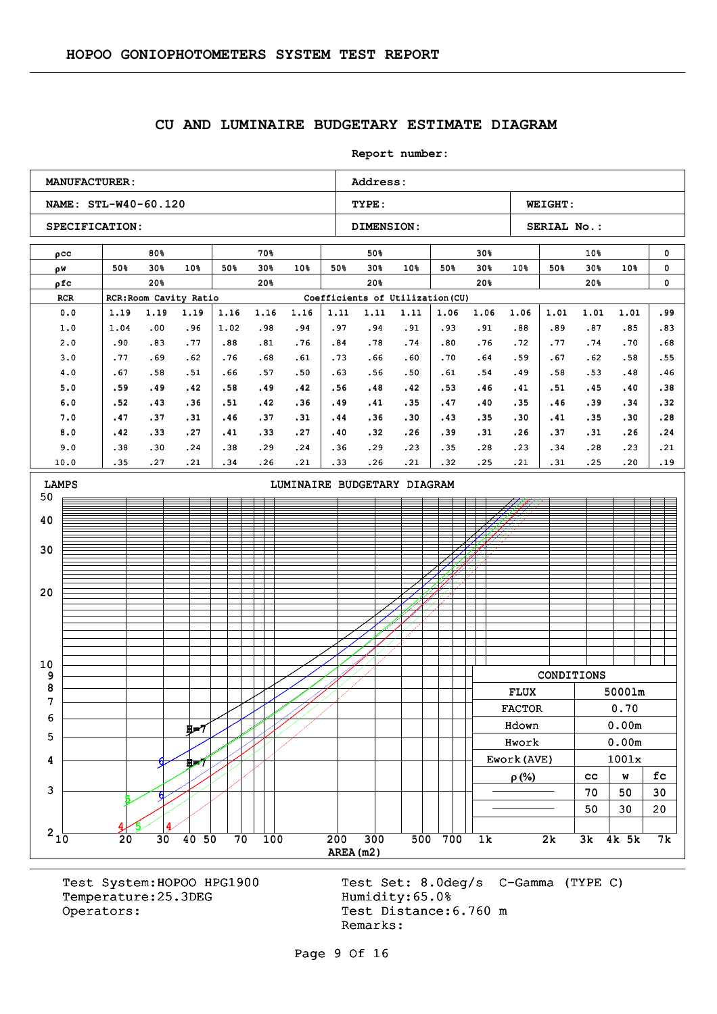#### **CU AND LUMINAIRE BUDGETARY ESTIMATE DIAGRAM**

**Report number: NAME: STL-W40-60.120 TYPE: WEIGHT:** SPECIFICATION: DIMENSION: SERIAL No.: **MANUFACTURER:** Address: ρcc w ρ ρfc RCR RCR:Room Cavity Ratio Coefficients of Utilization (CU) 80% 50% 30% 50% 30% 10% 20% 70% 50% 30% 50% 30% 10% 20% 50% 50% 30% 50% 30% 10% 20% 30% 50% 30% 50% 30% 10% 20% 10% 50% 30% 50% 30% 10% 20% 0  $\mathbf{0}$ 0 0.0 1.0 2.0 3.0 4.0 5.0 6.0 7.0 8.0 9.0 10.0 1.19 1.04 .90 .77 .67 .59 .52 .47 .42 .38 .35 1.19 .00 .83 .69 .58 .49 .43 .37 .33 .30 .27 1.19 .96 .77 .62 .51 .42 .36 .31 .27 .24 .21 1.16 1.02 .88 .76 .66 .58 .51 .46 .41 .38 .34 1.16 .98 .81 .68 .57 .49 .42 .37 .33 .29 .26 1.16 .94 .76 .61 .50 .42 .36 .31 .27 .24 .21 1.11 .97 .84 .73 .63 .56 .49 .44 .40 .36 .33 1.11 .94 .78 .66 .56 .48 .41 .36 .32 .29 .26 1.11 .91 .74 .60 .50 .42 .35 .30 .26 .23 .21 1.06 .93 .80 .70 .61 .53 .47 .43 .39 .35 .32 1.06 .91 .76 .64 .54 .46 .40 .35 .31 .28 .25 1.06 .88 .72 .59 .49 .41 .35 .30 .26 .23 .21 1.01 .89 .77 .67 .58 .51 .46 .41 .37 .34 .31 1.01 .87 .74 .62 .53 .45 .39 .35 .31 .28 .25 1.01 .85 .70 .58 .48 .40 .34 .30 .26  $.23$ .20 .99 .83 .68 .55 .46 .38 .32 .28 .24 .21 .19 3 4 5 6 7 8 9 10 20 30 40 50 LAMPS **LAMPS LIMINAIRE BUDGETARY DIAGRAM** 6 H=7 5 6 น่⇒7 CONDITIONS FLUX 5000lm FLUX 5000lm FACTOR 0.70 Hdown 0.00m Hdown 0.00m Hwork 0.00m Hwork 0.00m Ework(AVE)  $\vert$  1001x  $\rho(\%)$  | cc | w | fc  $70 \mid 50 \mid 30$  $50 \mid 30 \mid 20$ 

Temperature: 25.3DEG Humidity: 65.0% Operators: Test Distance: 6.760 m

 $5/14$ 

4

Test System:HOPOO HPG1900 Test Set: 8.0deg/s C-Gamma (TYPE C) Remarks:

AREA(m2)  $210$  20 30 40 50 70 100 200 300 500 700 1k 2k 3k 4k 5k 7k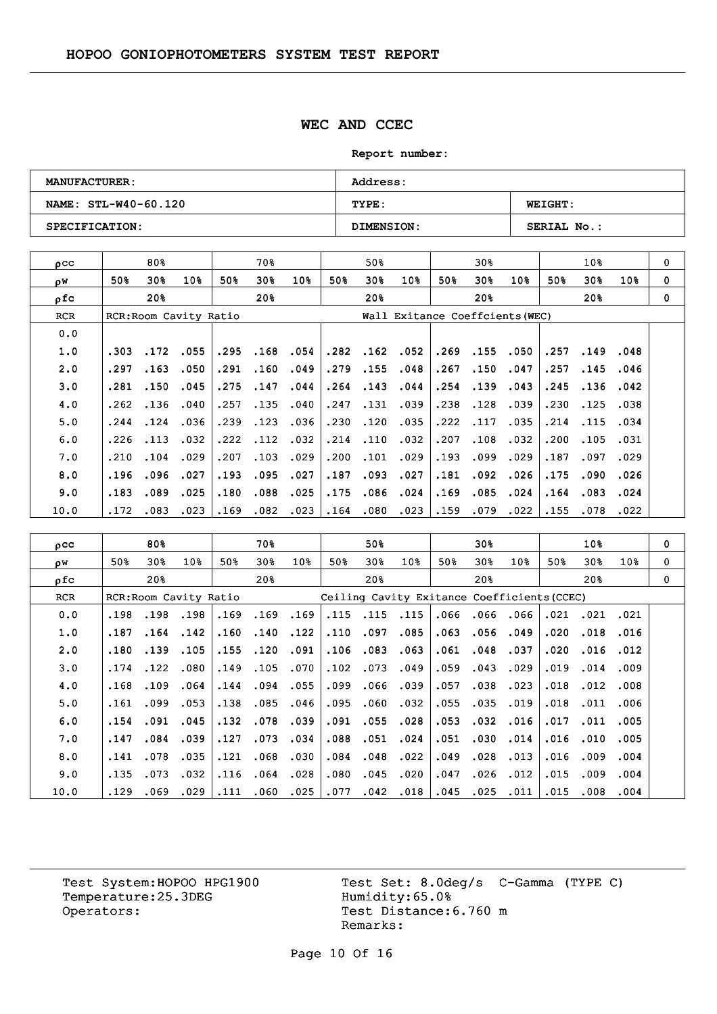### **WEC AND CCEC**

**Report number:** 

| <b>MANUFACTURER:</b> | <b>Address:</b>   |                    |  |  |  |  |  |
|----------------------|-------------------|--------------------|--|--|--|--|--|
| NAME: STL-W40-60.120 | TYPE:             | <b>WEIGHT:</b>     |  |  |  |  |  |
| SPECIFICATION:       | <b>DIMENSION:</b> | <b>SERIAL No.:</b> |  |  |  |  |  |

| $_{\text{O}}$ CC |                        | 80%  |      |      | 70왕  |      |      | 50%                             |                 |      | 30%      |      |      | 10 <sub>8</sub> |      | 0        |
|------------------|------------------------|------|------|------|------|------|------|---------------------------------|-----------------|------|----------|------|------|-----------------|------|----------|
| οW               | 50%                    | 30%  | 10%  | 50%  | 30%  | 10%  | 50%  | 30%                             | 10 <sub>8</sub> | 50%  | 30%      | 10%  | 50%  | 30 <sub>8</sub> | 10%  | $\Omega$ |
| ρfc              |                        | 20%  |      |      | 20%  |      |      | 20%                             |                 |      | 20%      |      |      | 20%             |      | $\Omega$ |
| <b>RCR</b>       | RCR: Room Cavity Ratio |      |      |      |      |      |      | Wall Exitance Coeffcients (WEC) |                 |      |          |      |      |                 |      |          |
| 0.0              |                        |      |      |      |      |      |      |                                 |                 |      |          |      |      |                 |      |          |
| 1.0              | .303                   | .172 | .055 | .295 | .168 | .054 | .282 | .162                            | .052            |      | .269.155 | .050 | .257 | .149            | .048 |          |
| 2.0              | .297                   | .163 | .050 | .291 | .160 | .049 | .279 | .155                            | .048            | .267 | .150     | .047 | .257 | .145            | .046 |          |
| 3.0              | .281                   | .150 | .045 | .275 | .147 | .044 | .264 | .143                            | .044            | .254 | .139     | .043 | .245 | .136            | .042 |          |
| 4.0              | .262                   | .136 | .040 | .257 | .135 | .040 | .247 | .131                            | .039            | .238 | .128     | .039 | .230 | .125            | .038 |          |
| 5.0              | .244                   | .124 | .036 | .239 | .123 | .036 | .230 | .120                            | .035            | .222 | .117     | .035 | .214 | .115            | .034 |          |
| 6.0              | .226                   | .113 | .032 | .222 | .112 | .032 | .214 | .110                            | .032            | .207 | .108     | .032 | .200 | .105            | .031 |          |
| 7.0              | .210                   | .104 | .029 | .207 | .103 | .029 | .200 | .101                            | .029            | .193 | .099     | .029 | .187 | .097            | .029 |          |
| 8.0              | .196                   | .096 | .027 | .193 | .095 | .027 | .187 | .093                            | .027            | .181 | .092     | .026 | .175 | .090            | .026 |          |
| 9.0              | .183                   | .089 | .025 | .180 | .088 | .025 | .175 | .086                            | .024            | .169 | .085     | .024 | .164 | .083            | .024 |          |
| 10.0             | .172                   | .083 | .023 | .169 | .082 | .023 | .164 | .080                            | .023            | .159 | .079     | .022 | .155 | .078            | .022 |          |

| $_{\text{pcc}}$ |      | 80%             |                        |      | 70%                                         |                 |      | 50%             |                 |      | 30%  |      |      | 10%             |                 | 0 |
|-----------------|------|-----------------|------------------------|------|---------------------------------------------|-----------------|------|-----------------|-----------------|------|------|------|------|-----------------|-----------------|---|
| ρW              | 50%  | 30%             | 10 <sub>8</sub>        | 50%  | 30%                                         | 10 <sub>8</sub> | 50%  | 30 <sub>8</sub> | 10 <sub>8</sub> | 50%  | 30%  | 10%  | 50%  | 30%             | 10 <sub>8</sub> | 0 |
| ρfc             |      | 20 <sub>8</sub> |                        |      | 20%                                         |                 |      | 20%             |                 |      | 20%  |      |      | 20 <sub>8</sub> |                 | 0 |
| <b>RCR</b>      |      |                 | RCR: Room Cavity Ratio |      | Ceiling Cavity Exitance Coefficients (CCEC) |                 |      |                 |                 |      |      |      |      |                 |                 |   |
| 0.0             | .198 | .198            | .198                   | .169 | .169                                        | .169            |      | .115.115        | .115            | .066 | .066 | .066 | .021 | .021            | .021            |   |
| 1.0             | .187 | .164            | .142                   | .160 | .140                                        | .122            | .110 | .097            | .085            | .063 | .056 | .049 | .020 | .018            | .016            |   |
| 2.0             | .180 | .139            | .105                   | .155 | .120                                        | .091            | .106 | .083            | .063            | .061 | .048 | .037 | .020 | .016            | .012            |   |
| 3.0             | .174 | .122            | .080                   | .149 | .105                                        | .070            | .102 | .073            | .049            | .059 | .043 | .029 | .019 | .014            | .009            |   |
| 4.0             | .168 | .109            | .064                   | .144 | .094                                        | .055            | .099 | .066            | .039            | .057 | .038 | .023 | .018 | .012            | .008            |   |
| 5.0             | .161 | .099            | .053                   | .138 | .085                                        | .046            | .095 | .060            | .032            | .055 | .035 | .019 | .018 | .011            | .006            |   |
| 6.0             | .154 | .091            | .045                   | .132 | .078                                        | .039            | .091 | .055            | .028            | .053 | .032 | .016 | .017 | .011            | .005            |   |
| 7.0             | .147 | .084            | .039                   | .127 | .073                                        | .034            | .088 | .051            | .024            | .051 | .030 | .014 | .016 | .010            | .005            |   |
| 8.0             | .141 | .078            | .035                   | .121 | .068                                        | .030            | .084 | .048            | .022            | .049 | .028 | .013 | .016 | .009            | .004            |   |
| 9.0             | .135 | .073            | .032                   | .116 | .064                                        | .028            | .080 | .045            | .020            | .047 | .026 | .012 | .015 | .009            | .004            |   |
| 10.0            | .129 | .069            | .029                   | .111 | .060                                        | .025            | .077 | .042            | .018            | .045 | .025 | .011 | .015 | .008            | .004            |   |

Temperature:25.3DEG Operators: Test Distance: 6.760 m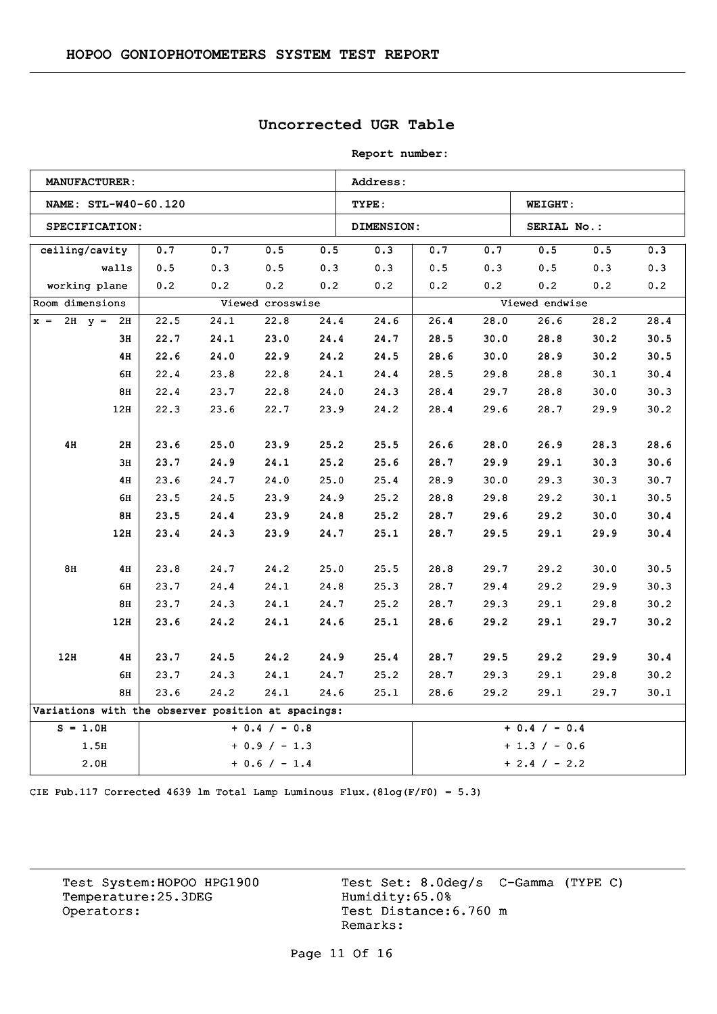## **Uncorrected UGR Table**

**Report number:** 

|                                                    | <b>MANUFACTURER:</b> |      |      |                  |      | Address:   |                 |      |                |      |      |
|----------------------------------------------------|----------------------|------|------|------------------|------|------------|-----------------|------|----------------|------|------|
|                                                    | NAME: STL-W40-60.120 |      |      |                  |      | TYPE:      |                 |      | <b>WEIGHT:</b> |      |      |
|                                                    | SPECIFICATION:       |      |      |                  |      | DIMENSION: |                 |      | SERIAL No.:    |      |      |
| ceiling/cavity                                     |                      | 0.7  | 0.7  | $0.5\,$          | 0.5  | 0.3        | 0.7             | 0.7  | $0.5\,$        | 0.5  | 0.3  |
|                                                    | walls                | 0.5  | 0.3  | 0.5              | 0.3  | 0.3        | 0.5             | 0.3  | 0.5            | 0.3  | 0.3  |
|                                                    | working plane        | 0.2  | 0.2  | 0.2              | 0.2  | 0.2        | 0.2             | 0.2  | 0.2            | 0.2  | 0.2  |
| Room dimensions                                    |                      |      |      | Viewed crosswise |      |            |                 |      | Viewed endwise |      |      |
| $x = 2H$ $y = 2H$                                  |                      | 22.5 | 24.1 | 22.8             | 24.4 | 24.6       | 26.4            | 28.0 | 26.6           | 28.2 | 28.4 |
|                                                    | 3H                   | 22.7 | 24.1 | 23.0             | 24.4 | 24.7       | 28.5            | 30.0 | 28.8           | 30.2 | 30.5 |
|                                                    | 4H                   | 22.6 | 24.0 | 22.9             | 24.2 | 24.5       | 28.6            | 30.0 | 28.9           | 30.2 | 30.5 |
|                                                    | 6H                   | 22.4 | 23.8 | 22.8             | 24.1 | 24.4       | 28.5            | 29.8 | 28.8           | 30.1 | 30.4 |
|                                                    | 8H                   | 22.4 | 23.7 | 22.8             | 24.0 | 24.3       | 28.4            | 29.7 | 28.8           | 30.0 | 30.3 |
|                                                    | 12H                  | 22.3 | 23.6 | 22.7             | 23.9 | 24.2       | 28.4            | 29.6 | 28.7           | 29.9 | 30.2 |
|                                                    |                      |      |      |                  |      |            |                 |      |                |      |      |
| 4H                                                 | 2H                   | 23.6 | 25.0 | 23.9             | 25.2 | 25.5       | 26.6            | 28.0 | 26.9           | 28.3 | 28.6 |
|                                                    | 3H                   | 23.7 | 24.9 | 24.1             | 25.2 | 25.6       | 28.7            | 29.9 | 29.1           | 30.3 | 30.6 |
|                                                    | 4H                   | 23.6 | 24.7 | 24.0             | 25.0 | 25.4       | 28.9            | 30.0 | 29.3           | 30.3 | 30.7 |
|                                                    | 6H                   | 23.5 | 24.5 | 23.9             | 24.9 | 25.2       | 28.8            | 29.8 | 29.2           | 30.1 | 30.5 |
|                                                    | 8H                   | 23.5 | 24.4 | 23.9             | 24.8 | 25.2       | 28.7            | 29.6 | 29.2           | 30.0 | 30.4 |
|                                                    | 12H                  | 23.4 | 24.3 | 23.9             | 24.7 | 25.1       | 28.7            | 29.5 | 29.1           | 29.9 | 30.4 |
| 8H                                                 | 4H                   | 23.8 | 24.7 | 24.2             | 25.0 | 25.5       | 28.8            | 29.7 | 29.2           | 30.0 | 30.5 |
|                                                    | 6H                   | 23.7 | 24.4 | 24.1             | 24.8 | 25.3       | 28.7            | 29.4 | 29.2           | 29.9 | 30.3 |
|                                                    | 8H                   |      |      |                  |      |            |                 |      |                |      | 30.2 |
|                                                    |                      | 23.7 | 24.3 | 24.1             | 24.7 | 25.2       | 28.7            | 29.3 | 29.1           | 29.8 |      |
|                                                    | 12H                  | 23.6 | 24.2 | 24.1             | 24.6 | 25.1       | 28.6            | 29.2 | 29.1           | 29.7 | 30.2 |
| 12H                                                | 4H                   | 23.7 | 24.5 | 24.2             | 24.9 | 25.4       | 28.7            | 29.5 | 29.2           | 29.9 | 30.4 |
|                                                    | 6н                   | 23.7 | 24.3 | 24.1             | 24.7 | 25.2       | 28.7            | 29.3 | 29.1           | 29.8 | 30.2 |
|                                                    | 8H                   | 23.6 | 24.2 | 24.1             | 24.6 | 25.1       | 28.6            | 29.2 | 29.1           | 29.7 | 30.1 |
| Variations with the observer position at spacings: |                      |      |      |                  |      |            |                 |      |                |      |      |
| $S = 1.0H$                                         |                      |      |      | $+ 0.4 / - 0.8$  |      |            | $+ 0.4 / - 0.4$ |      |                |      |      |
|                                                    | 1.5H                 |      |      | $+ 0.9 / - 1.3$  |      |            | $+ 1.3 / - 0.6$ |      |                |      |      |
|                                                    | 2.0H                 |      |      | $+ 0.6 / - 1.4$  |      |            | $+ 2.4 / - 2.2$ |      |                |      |      |

CIE Pub.117 Corrected 4639 lm Total Lamp Luminous Flux.(8log(F/F0) = 5.3)

Temperature:25.3DEG Operators: Test Distance: 6.760 m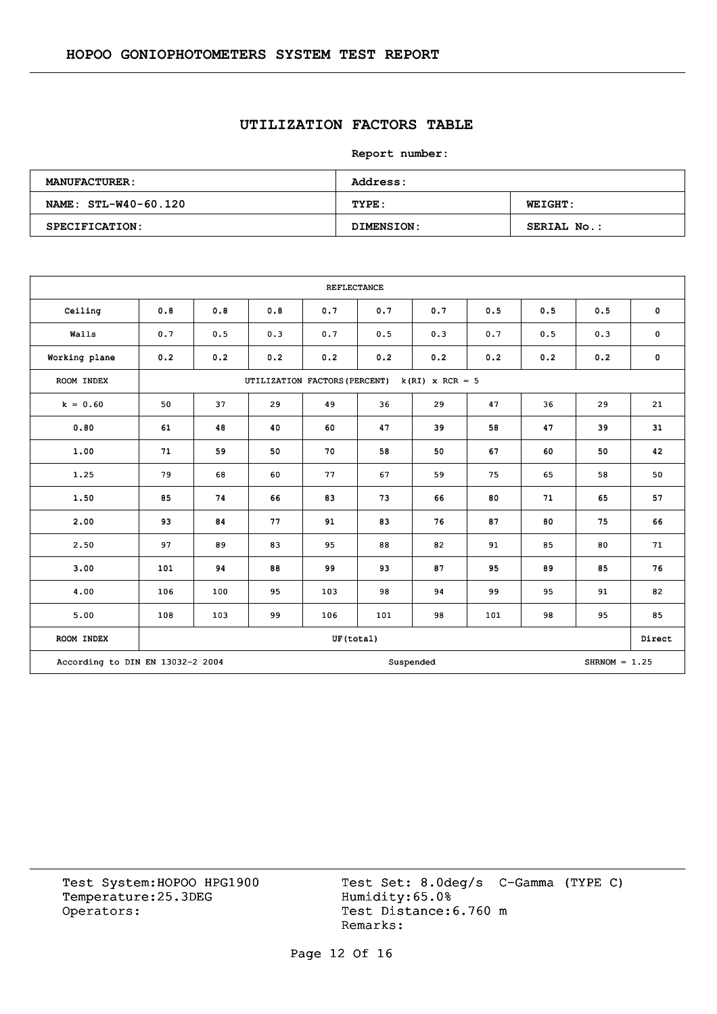## **UTILIZATION FACTORS TABLE**

**Report number:** 

| <b>MANUFACTURER:</b> | Address:   |                    |  |  |  |  |  |
|----------------------|------------|--------------------|--|--|--|--|--|
| NAME: STL-W40-60.120 | TYPE:      | <b>WEIGHT:</b>     |  |  |  |  |  |
| SPECIFICATION:       | DIMENSION: | <b>SERIAL No.:</b> |  |  |  |  |  |

|                                  |     |                                                    |     | <b>REFLECTANCE</b> |     |           |     |     |                 |             |  |
|----------------------------------|-----|----------------------------------------------------|-----|--------------------|-----|-----------|-----|-----|-----------------|-------------|--|
| Ceiling                          | 0.8 | 0.8                                                | 0.8 | 0.7                | 0.7 | 0.7       | 0.5 | 0.5 | 0.5             | $\mathbf 0$ |  |
| Walls                            | 0.7 | 0.5                                                | 0.3 | 0.7                | 0.5 | 0.3       | 0.7 | 0.5 | 0.3             | $\mathbf 0$ |  |
| Working plane                    | 0.2 | 0.2                                                | 0.2 | 0.2                | 0.2 | 0.2       | 0.2 | 0.2 | 0.2             | $\mathbf 0$ |  |
| ROOM INDEX                       |     | $k(RI)$ x RCR = 5<br>UTILIZATION FACTORS (PERCENT) |     |                    |     |           |     |     |                 |             |  |
| $k = 0.60$                       | 50  | 37                                                 | 29  | 49                 | 36  | 29        | 47  | 36  | 29              | 21          |  |
| 0.80                             | 61  | 48                                                 | 40  | 60                 | 47  | 39        | 58  | 47  | 39              | 31          |  |
| 1.00                             | 71  | 59                                                 | 50  | 70                 | 58  | 50        | 67  | 60  | 50              | 42          |  |
| 1.25                             | 79  | 68                                                 | 60  | 77                 | 67  | 59        | 75  | 65  | 58              | 50          |  |
| 1.50                             | 85  | 74                                                 | 66  | 83                 | 73  | 66        | 80  | 71  | 65              | 57          |  |
| 2.00                             | 93  | 84                                                 | 77  | 91                 | 83  | 76        | 87  | 80  | 75              | 66          |  |
| 2.50                             | 97  | 89                                                 | 83  | 95                 | 88  | 82        | 91  | 85  | 80              | 71          |  |
| 3.00                             | 101 | 94                                                 | 88  | 99                 | 93  | 87        | 95  | 89  | 85              | 76          |  |
| 4.00                             | 106 | 100                                                | 95  | 103                | 98  | 94        | 99  | 95  | 91              | 82          |  |
| 5.00                             | 108 | 103                                                | 99  | 106                | 101 | 98        | 101 | 98  | 95              | 85          |  |
| ROOM INDEX                       |     |                                                    |     | UF(total)          |     |           |     |     |                 | Direct      |  |
| According to DIN EN 13032-2 2004 |     |                                                    |     |                    |     | Suspended |     |     | $SHRNOM = 1.25$ |             |  |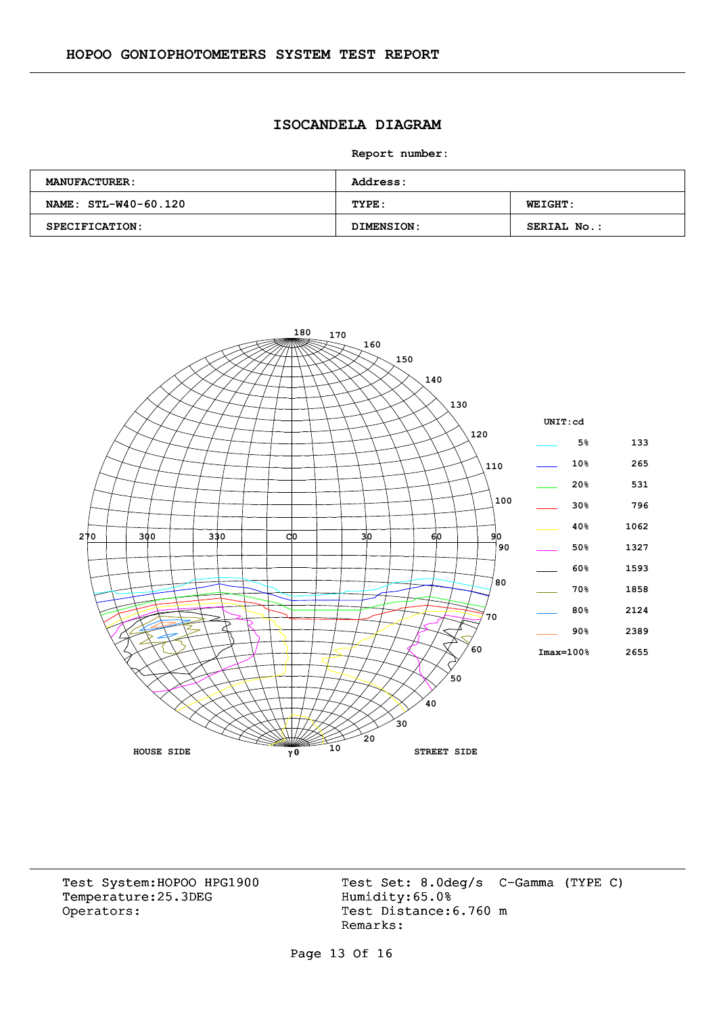### **ISOCANDELA DIAGRAM**

**Report number:** 

| <b>MANUFACTURER:</b> | <b>Address:</b> |                    |  |  |  |  |  |
|----------------------|-----------------|--------------------|--|--|--|--|--|
| NAME: STL-W40-60.120 | TYPE:           | <b>WEIGHT:</b>     |  |  |  |  |  |
| SPECIFICATION:       | DIMENSION:      | <b>SERIAL No.:</b> |  |  |  |  |  |



Temperature:25.3DEG Operators: Test Distance: 6.760 m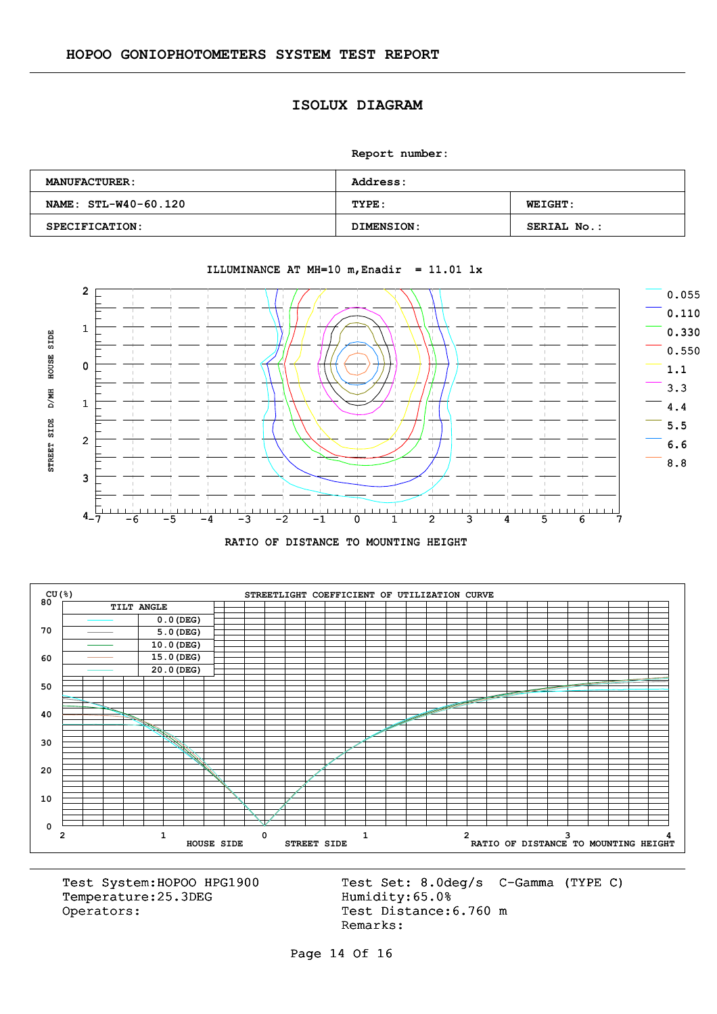#### **ISOLUX DIAGRAM**

**Report number:** 

| <b>MANUFACTURER:</b> | <b>Address:</b>   |                    |  |  |  |  |
|----------------------|-------------------|--------------------|--|--|--|--|
| NAME: STL-W40-60.120 | TYPE:             | <b>WEIGHT:</b>     |  |  |  |  |
| SPECIFICATION:       | <b>DIMENSION:</b> | <b>SERIAL No.:</b> |  |  |  |  |



#### ILLUMINANCE AT MH=10  $m$ , Enadir = 11.01 lx





Temperature:25.3DEG Operators: Test Distance: 6.760 m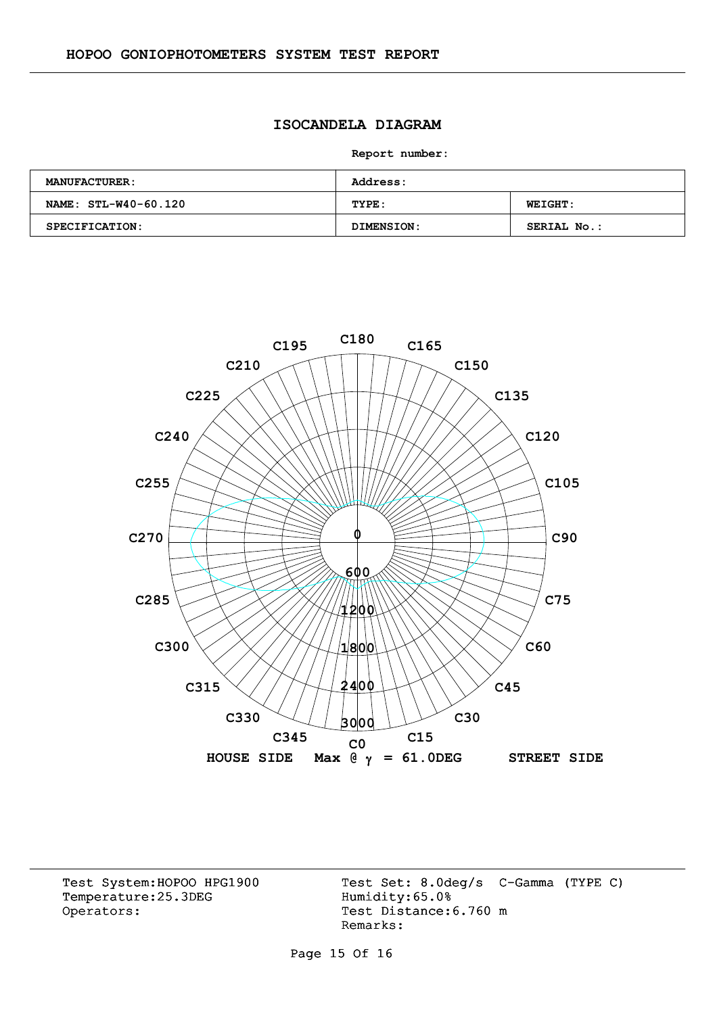### **ISOCANDELA DIAGRAM**

**Report number:** 

| <b>MANUFACTURER:</b> | Address:   |                    |  |  |  |  |  |
|----------------------|------------|--------------------|--|--|--|--|--|
| NAME: STL-W40-60.120 | TYPE:      | <b>WEIGHT:</b>     |  |  |  |  |  |
| SPECIFICATION:       | DIMENSION: | <b>SERIAL No.:</b> |  |  |  |  |  |



Temperature:25.3DEG Operators: Test Distance: 6.760 m